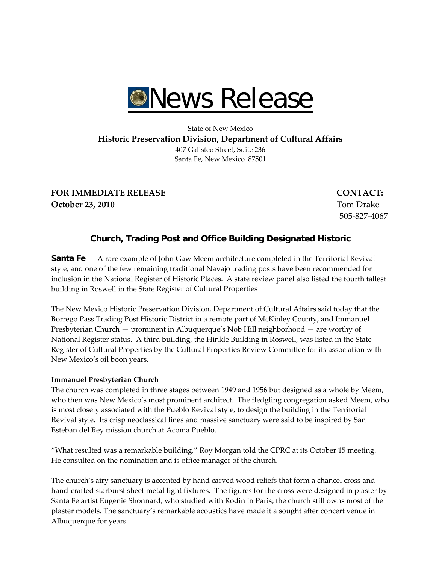

# State of New Mexico **Historic Preservation Division, Department of Cultural Affairs** 407 Galisteo Street, Suite 236 Santa Fe, New Mexico 87501

**FOR IMMEDIATE RELEASE CONTACT: October 23, 2010** Tom Drake

505‐827‐4067

# **Church, Trading Post and Office Building Designated Historic**

**Santa Fe** — A rare example of John Gaw Meem architecture completed in the Territorial Revival style, and one of the few remaining traditional Navajo trading posts have been recommended for inclusion in the National Register of Historic Places. A state review panel also listed the fourth tallest building in Roswell in the State Register of Cultural Properties

The New Mexico Historic Preservation Division, Department of Cultural Affairs said today that the Borrego Pass Trading Post Historic District in a remote part of McKinley County, and Immanuel Presbyterian Church — prominent in Albuquerque's Nob Hill neighborhood — are worthy of National Register status. A third building, the Hinkle Building in Roswell, was listed in the State Register of Cultural Properties by the Cultural Properties Review Committee for its association with New Mexico's oil boon years.

### **Immanuel Presbyterian Church**

The church was completed in three stages between 1949 and 1956 but designed as a whole by Meem, who then was New Mexico's most prominent architect. The fledgling congregation asked Meem, who is most closely associated with the Pueblo Revival style, to design the building in the Territorial Revival style. Its crisp neoclassical lines and massive sanctuary were said to be inspired by San Esteban del Rey mission church at Acoma Pueblo.

"What resulted was a remarkable building," Roy Morgan told the CPRC at its October 15 meeting. He consulted on the nomination and is office manager of the church.

The church's airy sanctuary is accented by hand carved wood reliefs that form a chancel cross and hand-crafted starburst sheet metal light fixtures. The figures for the cross were designed in plaster by Santa Fe artist Eugenie Shonnard, who studied with Rodin in Paris; the church still owns most of the plaster models. The sanctuary's remarkable acoustics have made it a sought after concert venue in Albuquerque for years.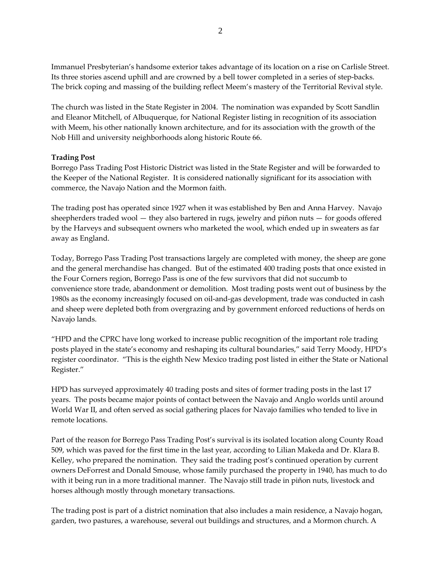Immanuel Presbyterian's handsome exterior takes advantage of its location on a rise on Carlisle Street. Its three stories ascend uphill and are crowned by a bell tower completed in a series of step-backs. The brick coping and massing of the building reflect Meem's mastery of the Territorial Revival style.

The church was listed in the State Register in 2004. The nomination was expanded by Scott Sandlin and Eleanor Mitchell, of Albuquerque, for National Register listing in recognition of its association with Meem, his other nationally known architecture, and for its association with the growth of the Nob Hill and university neighborhoods along historic Route 66.

### **Trading Post**

Borrego Pass Trading Post Historic District was listed in the State Register and will be forwarded to the Keeper of the National Register. It is considered nationally significant for its association with commerce, the Navajo Nation and the Mormon faith.

The trading post has operated since 1927 when it was established by Ben and Anna Harvey. Navajo sheepherders traded wool — they also bartered in rugs, jewelry and piñon nuts — for goods offered by the Harveys and subsequent owners who marketed the wool, which ended up in sweaters as far away as England.

Today, Borrego Pass Trading Post transactions largely are completed with money, the sheep are gone and the general merchandise has changed. But of the estimated 400 trading posts that once existed in the Four Corners region, Borrego Pass is one of the few survivors that did not succumb to convenience store trade, abandonment or demolition. Most trading posts went out of business by the 1980s as the economy increasingly focused on oil‐and‐gas development, trade was conducted in cash and sheep were depleted both from overgrazing and by government enforced reductions of herds on Navajo lands.

"HPD and the CPRC have long worked to increase public recognition of the important role trading posts played in the state's economy and reshaping its cultural boundaries," said Terry Moody, HPD's register coordinator. "This is the eighth New Mexico trading post listed in either the State or National Register."

HPD has surveyed approximately 40 trading posts and sites of former trading posts in the last 17 years. The posts became major points of contact between the Navajo and Anglo worlds until around World War II, and often served as social gathering places for Navajo families who tended to live in remote locations.

Part of the reason for Borrego Pass Trading Post's survival is its isolated location along County Road 509, which was paved for the first time in the last year, according to Lilian Makeda and Dr. Klara B. Kelley, who prepared the nomination. They said the trading post's continued operation by current owners DeForrest and Donald Smouse, whose family purchased the property in 1940, has much to do with it being run in a more traditional manner. The Navajo still trade in piñon nuts, livestock and horses although mostly through monetary transactions.

The trading post is part of a district nomination that also includes a main residence, a Navajo hogan, garden, two pastures, a warehouse, several out buildings and structures, and a Mormon church. A